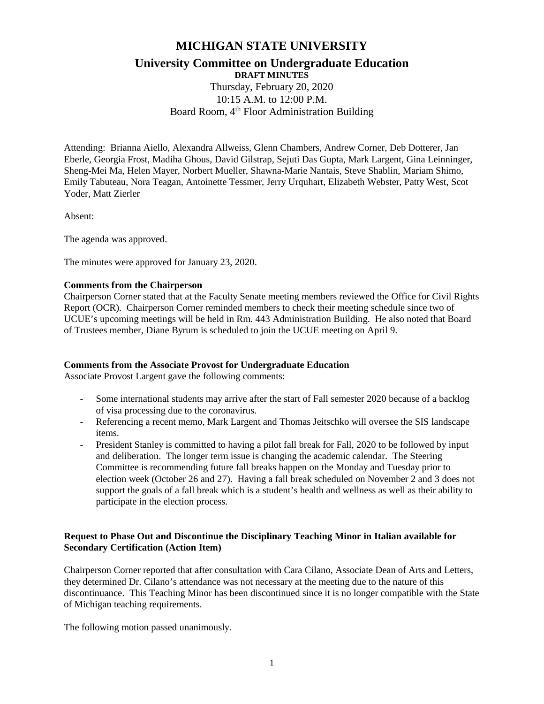## **MICHIGAN STATE UNIVERSITY**

# **University Committee on Undergraduate Education**

**DRAFT MINUTES** Thursday, February 20, 2020 10:15 A.M. to 12:00 P.M. Board Room, 4<sup>th</sup> Floor Administration Building

Attending: Brianna Aiello, Alexandra Allweiss, Glenn Chambers, Andrew Corner, Deb Dotterer, Jan Eberle, Georgia Frost, Madiha Ghous, David Gilstrap, Sejuti Das Gupta, Mark Largent, Gina Leinninger, Sheng-Mei Ma, Helen Mayer, Norbert Mueller, Shawna-Marie Nantais, Steve Shablin, Mariam Shimo, Emily Tabuteau, Nora Teagan, Antoinette Tessmer, Jerry Urquhart, Elizabeth Webster, Patty West, Scot Yoder, Matt Zierler

Absent:

The agenda was approved.

The minutes were approved for January 23, 2020.

### **Comments from the Chairperson**

Chairperson Corner stated that at the Faculty Senate meeting members reviewed the Office for Civil Rights Report (OCR). Chairperson Corner reminded members to check their meeting schedule since two of UCUE's upcoming meetings will be held in Rm. 443 Administration Building. He also noted that Board of Trustees member, Diane Byrum is scheduled to join the UCUE meeting on April 9.

## **Comments from the Associate Provost for Undergraduate Education**

Associate Provost Largent gave the following comments:

- Some international students may arrive after the start of Fall semester 2020 because of a backlog of visa processing due to the coronavirus.
- Referencing a recent memo, Mark Largent and Thomas Jeitschko will oversee the SIS landscape items.
- President Stanley is committed to having a pilot fall break for Fall, 2020 to be followed by input and deliberation. The longer term issue is changing the academic calendar. The Steering Committee is recommending future fall breaks happen on the Monday and Tuesday prior to election week (October 26 and 27). Having a fall break scheduled on November 2 and 3 does not support the goals of a fall break which is a student's health and wellness as well as their ability to participate in the election process.

## **Request to Phase Out and Discontinue the Disciplinary Teaching Minor in Italian available for Secondary Certification (Action Item)**

Chairperson Corner reported that after consultation with Cara Cilano, Associate Dean of Arts and Letters, they determined Dr. Cilano's attendance was not necessary at the meeting due to the nature of this discontinuance. This Teaching Minor has been discontinued since it is no longer compatible with the State of Michigan teaching requirements.

The following motion passed unanimously.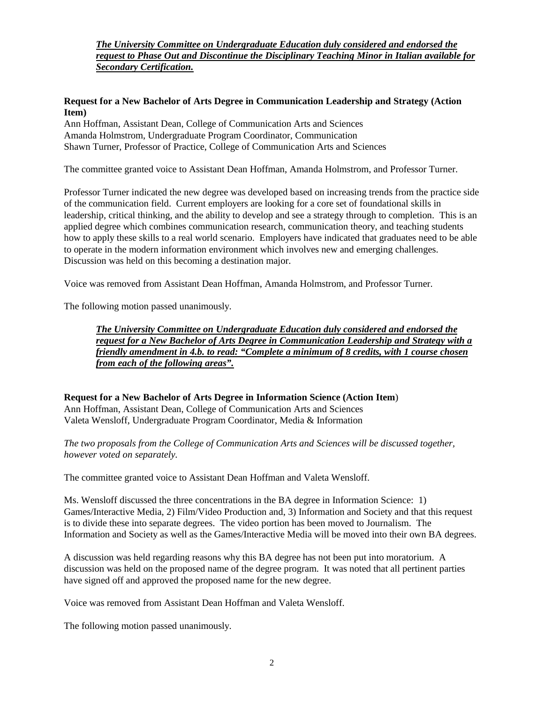*The University Committee on Undergraduate Education duly considered and endorsed the request to Phase Out and Discontinue the Disciplinary Teaching Minor in Italian available for Secondary Certification.*

#### **Request for a New Bachelor of Arts Degree in Communication Leadership and Strategy (Action Item)**

Ann Hoffman, Assistant Dean, College of Communication Arts and Sciences Amanda Holmstrom, Undergraduate Program Coordinator, Communication Shawn Turner, Professor of Practice, College of Communication Arts and Sciences

The committee granted voice to Assistant Dean Hoffman, Amanda Holmstrom, and Professor Turner.

Professor Turner indicated the new degree was developed based on increasing trends from the practice side of the communication field. Current employers are looking for a core set of foundational skills in leadership, critical thinking, and the ability to develop and see a strategy through to completion. This is an applied degree which combines communication research, communication theory, and teaching students how to apply these skills to a real world scenario. Employers have indicated that graduates need to be able to operate in the modern information environment which involves new and emerging challenges. Discussion was held on this becoming a destination major.

Voice was removed from Assistant Dean Hoffman, Amanda Holmstrom, and Professor Turner.

The following motion passed unanimously.

*The University Committee on Undergraduate Education duly considered and endorsed the request for a New Bachelor of Arts Degree in Communication Leadership and Strategy with a friendly amendment in 4.b. to read: "Complete a minimum of 8 credits, with 1 course chosen from each of the following areas".*

**Request for a New Bachelor of Arts Degree in Information Science (Action Item**) Ann Hoffman, Assistant Dean, College of Communication Arts and Sciences Valeta Wensloff, Undergraduate Program Coordinator, Media & Information

*The two proposals from the College of Communication Arts and Sciences will be discussed together, however voted on separately.*

The committee granted voice to Assistant Dean Hoffman and Valeta Wensloff.

Ms. Wensloff discussed the three concentrations in the BA degree in Information Science: 1) Games/Interactive Media, 2) Film/Video Production and, 3) Information and Society and that this request is to divide these into separate degrees. The video portion has been moved to Journalism. The Information and Society as well as the Games/Interactive Media will be moved into their own BA degrees.

A discussion was held regarding reasons why this BA degree has not been put into moratorium. A discussion was held on the proposed name of the degree program. It was noted that all pertinent parties have signed off and approved the proposed name for the new degree.

Voice was removed from Assistant Dean Hoffman and Valeta Wensloff.

The following motion passed unanimously.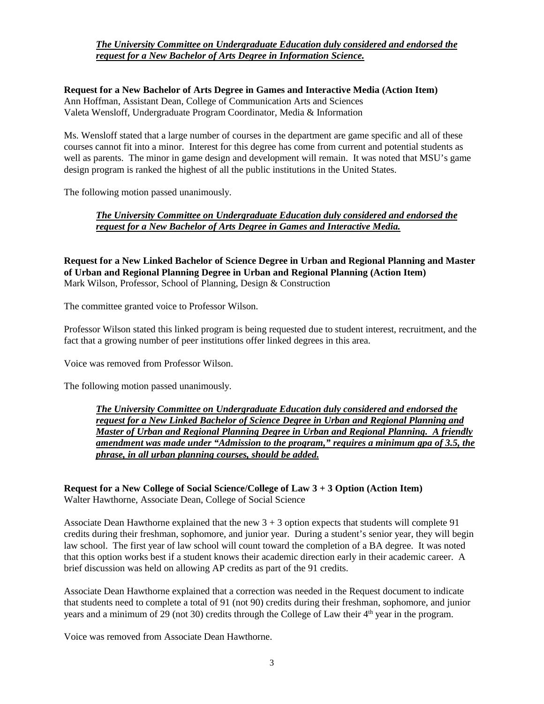### *The University Committee on Undergraduate Education duly considered and endorsed the request for a New Bachelor of Arts Degree in Information Science.*

**Request for a New Bachelor of Arts Degree in Games and Interactive Media (Action Item)** Ann Hoffman, Assistant Dean, College of Communication Arts and Sciences Valeta Wensloff, Undergraduate Program Coordinator, Media & Information

Ms. Wensloff stated that a large number of courses in the department are game specific and all of these courses cannot fit into a minor. Interest for this degree has come from current and potential students as well as parents. The minor in game design and development will remain. It was noted that MSU's game design program is ranked the highest of all the public institutions in the United States.

The following motion passed unanimously.

*The University Committee on Undergraduate Education duly considered and endorsed the request for a New Bachelor of Arts Degree in Games and Interactive Media.*

**Request for a New Linked Bachelor of Science Degree in Urban and Regional Planning and Master of Urban and Regional Planning Degree in Urban and Regional Planning (Action Item)** Mark Wilson, Professor, School of Planning, Design & Construction

The committee granted voice to Professor Wilson.

Professor Wilson stated this linked program is being requested due to student interest, recruitment, and the fact that a growing number of peer institutions offer linked degrees in this area.

Voice was removed from Professor Wilson.

The following motion passed unanimously.

*The University Committee on Undergraduate Education duly considered and endorsed the request for a New Linked Bachelor of Science Degree in Urban and Regional Planning and Master of Urban and Regional Planning Degree in Urban and Regional Planning. A friendly amendment was made under "Admission to the program," requires a minimum gpa of 3.5, the phrase, in all urban planning courses, should be added.* 

**Request for a New College of Social Science/College of Law 3 + 3 Option (Action Item)** Walter Hawthorne, Associate Dean, College of Social Science

Associate Dean Hawthorne explained that the new  $3 + 3$  option expects that students will complete 91 credits during their freshman, sophomore, and junior year. During a student's senior year, they will begin law school. The first year of law school will count toward the completion of a BA degree. It was noted that this option works best if a student knows their academic direction early in their academic career. A brief discussion was held on allowing AP credits as part of the 91 credits.

Associate Dean Hawthorne explained that a correction was needed in the Request document to indicate that students need to complete a total of 91 (not 90) credits during their freshman, sophomore, and junior years and a minimum of 29 (not 30) credits through the College of Law their  $4<sup>th</sup>$  year in the program.

Voice was removed from Associate Dean Hawthorne.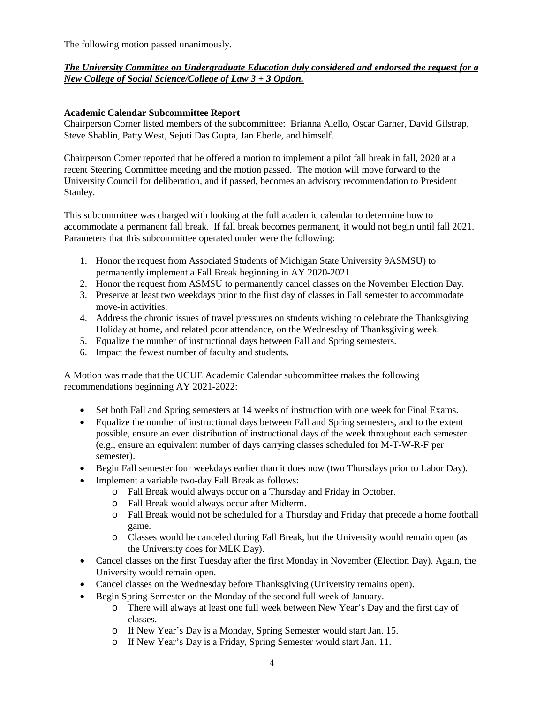The following motion passed unanimously.

## *The University Committee on Undergraduate Education duly considered and endorsed the request for a New College of Social Science/College of Law 3 + 3 Option.*

## **Academic Calendar Subcommittee Report**

Chairperson Corner listed members of the subcommittee: Brianna Aiello, Oscar Garner, David Gilstrap, Steve Shablin, Patty West, Sejuti Das Gupta, Jan Eberle, and himself.

Chairperson Corner reported that he offered a motion to implement a pilot fall break in fall, 2020 at a recent Steering Committee meeting and the motion passed. The motion will move forward to the University Council for deliberation, and if passed, becomes an advisory recommendation to President Stanley.

This subcommittee was charged with looking at the full academic calendar to determine how to accommodate a permanent fall break. If fall break becomes permanent, it would not begin until fall 2021. Parameters that this subcommittee operated under were the following:

- 1. Honor the request from Associated Students of Michigan State University 9ASMSU) to permanently implement a Fall Break beginning in AY 2020-2021.
- 2. Honor the request from ASMSU to permanently cancel classes on the November Election Day.
- 3. Preserve at least two weekdays prior to the first day of classes in Fall semester to accommodate move-in activities.
- 4. Address the chronic issues of travel pressures on students wishing to celebrate the Thanksgiving Holiday at home, and related poor attendance, on the Wednesday of Thanksgiving week.
- 5. Equalize the number of instructional days between Fall and Spring semesters.
- 6. Impact the fewest number of faculty and students.

A Motion was made that the UCUE Academic Calendar subcommittee makes the following recommendations beginning AY 2021-2022:

- Set both Fall and Spring semesters at 14 weeks of instruction with one week for Final Exams.
- Equalize the number of instructional days between Fall and Spring semesters, and to the extent possible, ensure an even distribution of instructional days of the week throughout each semester (e.g., ensure an equivalent number of days carrying classes scheduled for M-T-W-R-F per semester).
- Begin Fall semester four weekdays earlier than it does now (two Thursdays prior to Labor Day).
- Implement a variable two-day Fall Break as follows:
	- o Fall Break would always occur on a Thursday and Friday in October.
	- o Fall Break would always occur after Midterm.
	- o Fall Break would not be scheduled for a Thursday and Friday that precede a home football game.
	- o Classes would be canceled during Fall Break, but the University would remain open (as the University does for MLK Day).
- Cancel classes on the first Tuesday after the first Monday in November (Election Day). Again, the University would remain open.
- Cancel classes on the Wednesday before Thanksgiving (University remains open).
- Begin Spring Semester on the Monday of the second full week of January.
	- o There will always at least one full week between New Year's Day and the first day of classes.
	- o If New Year's Day is a Monday, Spring Semester would start Jan. 15.
	- o If New Year's Day is a Friday, Spring Semester would start Jan. 11.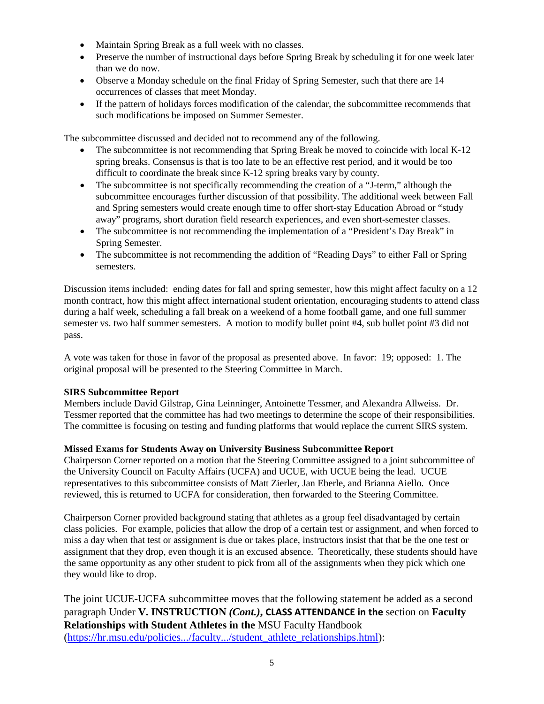- Maintain Spring Break as a full week with no classes.
- Preserve the number of instructional days before Spring Break by scheduling it for one week later than we do now.
- Observe a Monday schedule on the final Friday of Spring Semester, such that there are 14 occurrences of classes that meet Monday.
- If the pattern of holidays forces modification of the calendar, the subcommittee recommends that such modifications be imposed on Summer Semester.

The subcommittee discussed and decided not to recommend any of the following.

- The subcommittee is not recommending that Spring Break be moved to coincide with local K-12 spring breaks. Consensus is that is too late to be an effective rest period, and it would be too difficult to coordinate the break since K-12 spring breaks vary by county.
- The subcommittee is not specifically recommending the creation of a "J-term," although the subcommittee encourages further discussion of that possibility. The additional week between Fall and Spring semesters would create enough time to offer short-stay Education Abroad or "study away" programs, short duration field research experiences, and even short-semester classes.
- The subcommittee is not recommending the implementation of a "President's Day Break" in Spring Semester.
- The subcommittee is not recommending the addition of "Reading Days" to either Fall or Spring semesters.

Discussion items included: ending dates for fall and spring semester, how this might affect faculty on a 12 month contract, how this might affect international student orientation, encouraging students to attend class during a half week, scheduling a fall break on a weekend of a home football game, and one full summer semester vs. two half summer semesters. A motion to modify bullet point #4, sub bullet point #3 did not pass.

A vote was taken for those in favor of the proposal as presented above. In favor: 19; opposed: 1. The original proposal will be presented to the Steering Committee in March.

## **SIRS Subcommittee Report**

Members include David Gilstrap, Gina Leinninger, Antoinette Tessmer, and Alexandra Allweiss. Dr. Tessmer reported that the committee has had two meetings to determine the scope of their responsibilities. The committee is focusing on testing and funding platforms that would replace the current SIRS system.

#### **Missed Exams for Students Away on University Business Subcommittee Report**

Chairperson Corner reported on a motion that the Steering Committee assigned to a joint subcommittee of the University Council on Faculty Affairs (UCFA) and UCUE, with UCUE being the lead. UCUE representatives to this subcommittee consists of Matt Zierler, Jan Eberle, and Brianna Aiello. Once reviewed, this is returned to UCFA for consideration, then forwarded to the Steering Committee.

Chairperson Corner provided background stating that athletes as a group feel disadvantaged by certain class policies. For example, policies that allow the drop of a certain test or assignment, and when forced to miss a day when that test or assignment is due or takes place, instructors insist that that be the one test or assignment that they drop, even though it is an excused absence. Theoretically, these students should have the same opportunity as any other student to pick from all of the assignments when they pick which one they would like to drop.

The joint UCUE-UCFA subcommittee moves that the following statement be added as a second paragraph Under **V. INSTRUCTION** *(Cont.)***, CLASS ATTENDANCE in the** section on **Faculty Relationships with Student Athletes in the** MSU Faculty Handbook [\(https://hr.msu.edu/policies.../faculty.../student\\_athlete\\_relationships.html\)](https://hr.msu.edu/policies.../faculty.../student_athlete_relationships.html):